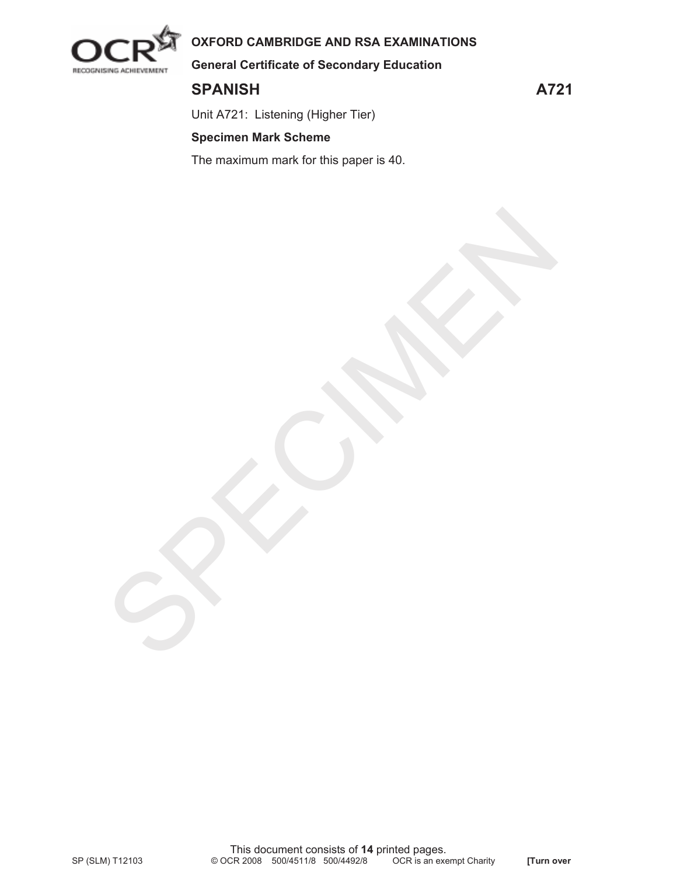

# **OXFORD CAMBRIDGE AND RSA EXAMINATIONS**

SPECIAL A

**General Certificate of Secondary Education** 

SPANISH A721

Unit A721: Listening (Higher Tier)

# **Specimen Mark Scheme**

The maximum mark for this paper is 40.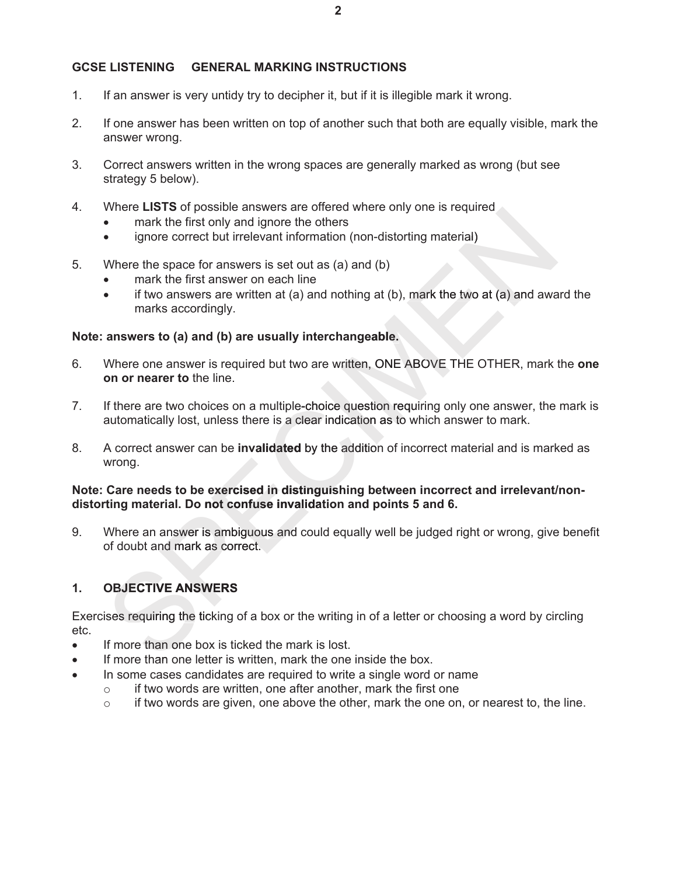## **GCSE LISTENING GENERAL MARKING INSTRUCTIONS**

- 1. If an answer is very untidy try to decipher it, but if it is illegible mark it wrong.
- 2. If one answer has been written on top of another such that both are equally visible, mark the answer wrong.
- 3. Correct answers written in the wrong spaces are generally marked as wrong (but see strategy 5 below).
- 4. Where **LISTS** of possible answers are offered where only one is required
	- mark the first only and ignore the others
	- ignore correct but irrelevant information (non-distorting material)
- 5. Where the space for answers is set out as (a) and (b)
	- mark the first answer on each line
	- $\bullet$  if two answers are written at (a) and nothing at (b), mark the two at (a) and award the marks accordingly.

#### **Note: answers to (a) and (b) are usually interchangeable.**

- 6. Where one answer is required but two are written, ONE ABOVE THE OTHER, mark the **one on or nearer to** the line. where the space for answers are briest and increase with the properties in the metally of the metally discrete with the first antivere the others<br>
• mark the first answer on each line<br>
• mark the first answer on each line<br>
- 7. If there are two choices on a multiple-choice question requiring only one answer, the mark is automatically lost, unless there is a clear indication as to which answer to mark.
- 8. A correct answer can be **invalidated** by the addition of incorrect material and is marked as wrong.

## **Note: Care needs to be exercised in distinguishing between incorrect and irrelevant/nondistorting material. Do not confuse invalidation and points 5 and 6.**

9. Where an answer is ambiguous and could equally well be judged right or wrong, give benefit of doubt and mark as correct.

## **1. OBJECTIVE ANSWERS**

Exercises requiring the ticking of a box or the writing in of a letter or choosing a word by circling etc.

- If more than one box is ticked the mark is lost.
- If more than one letter is written, mark the one inside the box.
- In some cases candidates are required to write a single word or name
	- $\circ$  if two words are written, one after another, mark the first one
	- $\circ$  if two words are given, one above the other, mark the one on, or nearest to, the line.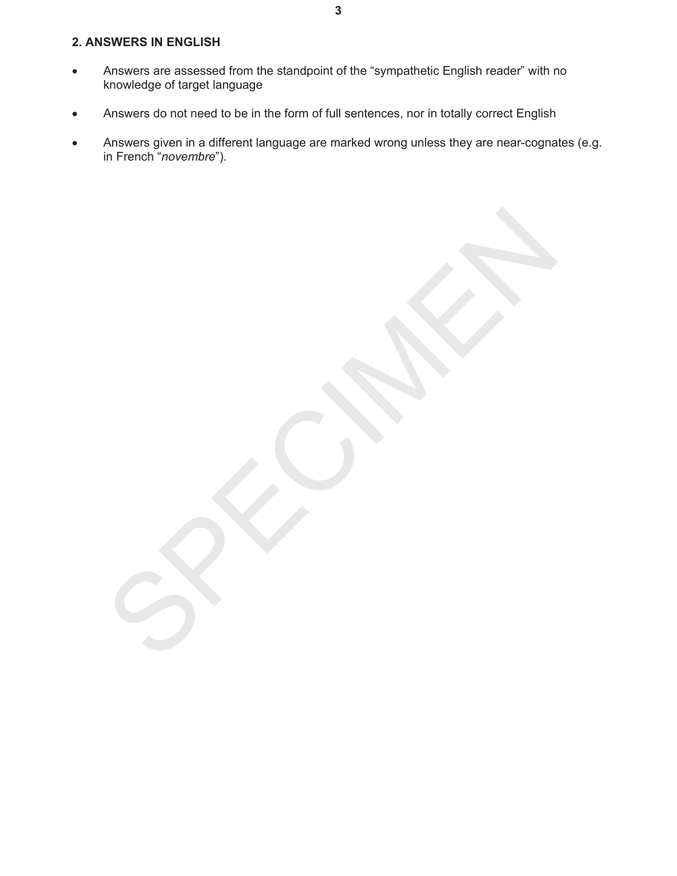## **2. ANSWERS IN ENGLISH**

- Answers are assessed from the standpoint of the "sympathetic English reader" with no knowledge of target language
- **•** Answers do not need to be in the form of full sentences, nor in totally correct English
- Answers given in a different language are marked wrong unless they are near-cognates (e.g. in French "*novembre*").

SPECIAL A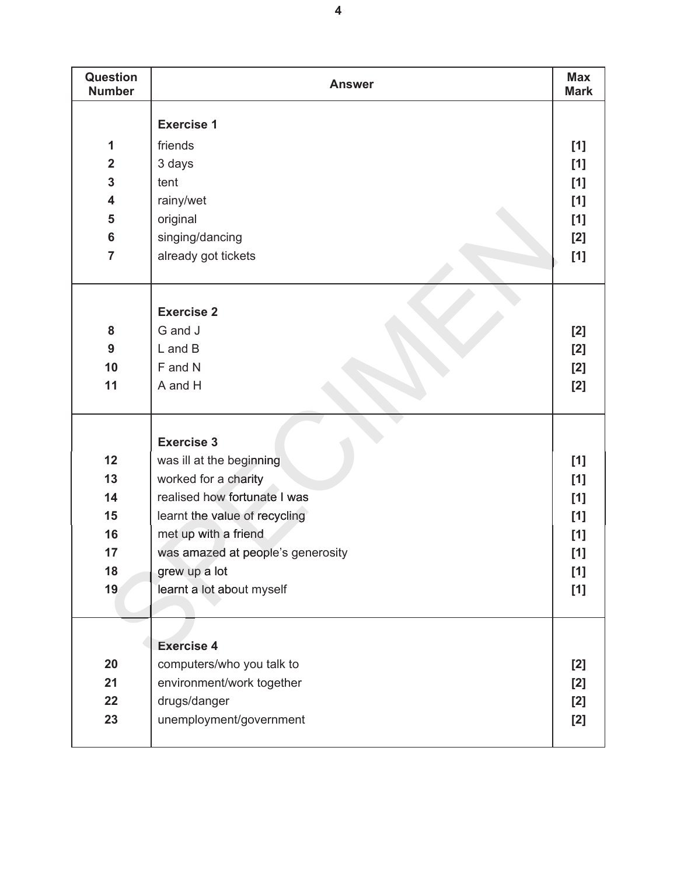| Question<br><b>Number</b> | <b>Answer</b>                     | <b>Max</b><br><b>Mark</b> |
|---------------------------|-----------------------------------|---------------------------|
|                           |                                   |                           |
|                           | <b>Exercise 1</b>                 |                           |
| 1                         | friends                           | [1]                       |
| $\overline{2}$            | 3 days                            | [1]                       |
| 3                         | tent                              | [1]                       |
| 4                         | rainy/wet                         | [1]                       |
| 5                         | original                          | [1]                       |
| $6\phantom{a}$            | singing/dancing                   | [2]                       |
| $\overline{7}$            | already got tickets               | [1]                       |
|                           |                                   |                           |
|                           |                                   |                           |
|                           | <b>Exercise 2</b>                 |                           |
| 8                         | G and J                           | $[2]$                     |
| 9                         | $L$ and $B$                       | [2]                       |
| 10                        | F and N                           | [2]                       |
| 11                        | A and H                           | [2]                       |
|                           |                                   |                           |
|                           |                                   |                           |
|                           | <b>Exercise 3</b>                 |                           |
| 12                        | was ill at the beginning          | [1]                       |
| 13                        | worked for a charity              | [1]                       |
| 14                        | realised how fortunate I was      | [1]                       |
| 15                        | learnt the value of recycling     | $[1]$                     |
| 16                        | met up with a friend              | [1]                       |
| 17                        | was amazed at people's generosity | [1]                       |
| 18                        | grew up a lot                     | [1]                       |
| 19                        | learnt a lot about myself         | [1]                       |
|                           |                                   |                           |
|                           |                                   |                           |
|                           | <b>Exercise 4</b>                 |                           |
| 20                        | computers/who you talk to         | [2]                       |
| 21                        | environment/work together         | [2]                       |
| 22                        | drugs/danger                      | [2]                       |
| 23                        | unemployment/government           | [2]                       |
|                           |                                   |                           |